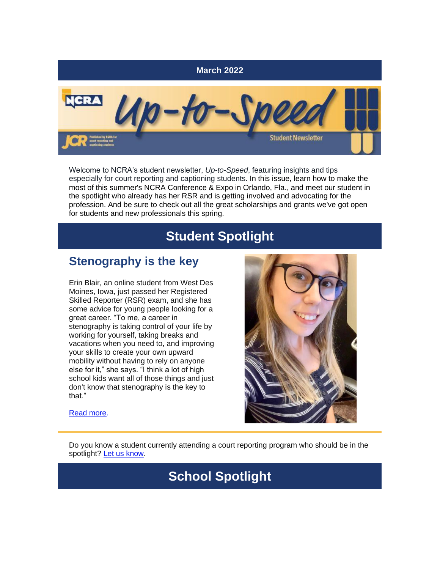

Welcome to NCRA's student newsletter, *Up-to-Speed*, featuring insights and tips especially for court reporting and captioning students. In this issue, learn how to make the most of this summer's NCRA Conference & Expo in Orlando, Fla., and meet our student in the spotlight who already has her RSR and is getting involved and advocating for the profession. And be sure to check out all the great scholarships and grants we've got open for students and new professionals this spring.

# **Student Spotlight**

### **Stenography is the key**

Erin Blair, an online student from West Des Moines, Iowa, just passed her Registered Skilled Reporter (RSR) exam, and she has some advice for young people looking for a great career. "To me, a career in stenography is taking control of your life by working for yourself, taking breaks and vacations when you need to, and improving your skills to create your own upward mobility without having to rely on anyone else for it," she says. "I think a lot of high school kids want all of those things and just don't know that stenography is the key to that."



[Read more.](https://www.thejcr.com/2022/03/24/student-spotlight-stenography-is-the-key/)

Do you know a student currently attending a court reporting program who should be in the spotlight? [Let us know.](mailto:jcrfeedback@ncra.org)

# **School Spotlight**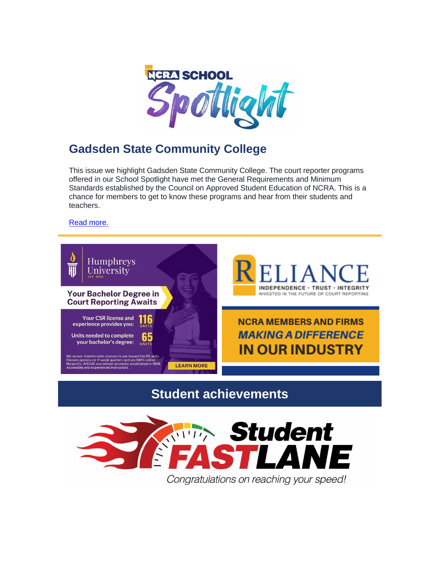

## **Gadsden State Community College**

This issue we highlight Gadsden State Community College. The court reporter programs offered in our School Spotlight have met the General Requirements and Minimum Standards established by the Council on Approved Student Education of NCRA. This is a chance for members to get to know these programs and hear from their students and teachers.

[Read more.](https://www.thejcr.com/2022/03/18/school-spotlight-gadsden-state-community-college/)



**Student achievements**

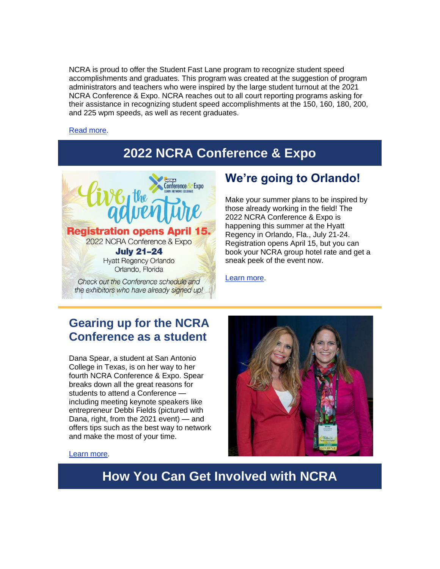NCRA is proud to offer the Student Fast Lane program to recognize student speed accomplishments and graduates. This program was created at the suggestion of program administrators and teachers who were inspired by the large student turnout at the 2021 NCRA Conference & Expo. NCRA reaches out to all court reporting programs asking for their assistance in recognizing student speed accomplishments at the 150, 160, 180, 200, and 225 wpm speeds, as well as recent graduates.

#### [Read more.](https://www.thejcr.com/2022/03/24/the-fast-lane-3/)

# **2022 NCRA Conference & Expo**



### **We're going to Orlando!**

Make your summer plans to be inspired by those already working in the field! The 2022 NCRA Conference & Expo is happening this summer at the Hyatt Regency in Orlando, Fla., July 21-24. Registration opens April 15, but you can book your NCRA group hotel rate and get a sneak peek of the event now.

[Learn more.](https://www.thejcr.com/2022/03/07/were-going-to-orlando/)

#### **Gearing up for the NCRA Conference as a student**

Dana Spear, a student at San Antonio College in Texas, is on her way to her fourth NCRA Conference & Expo. Spear breaks down all the great reasons for students to attend a Conference including meeting keynote speakers like entrepreneur Debbi Fields (pictured with Dana, right, from the 2021 event) — and offers tips such as the best way to network and make the most of your time.



#### [Learn more.](https://www.thejcr.com/2022/03/25/gearing-up-for-the-ncra-conference-as-a-student/)

**How You Can Get Involved with NCRA**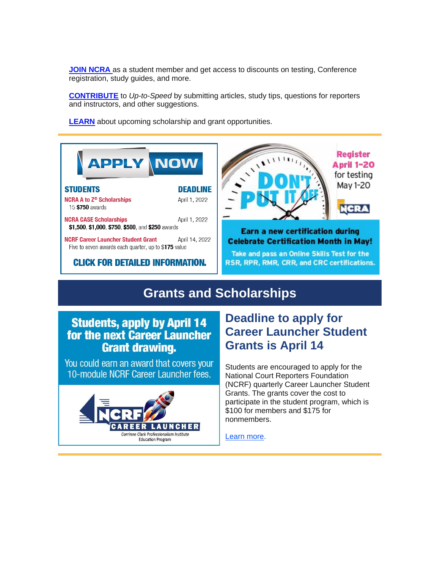**[JOIN NCRA](https://portal.ncra.org/JoinNCRA/SelectPackage.aspx)** as a student member and get access to discounts on testing, Conference registration, study guides, and more.

**[CONTRIBUTE](mailto:jcrfeedback@ncra.org)** to *Up-to-Speed* by submitting articles, study tips, questions for reporters and instructors, and other suggestions.

**[LEARN](https://www.ncra.org/home/get-involved/foundation/foundation-programs/NCRF-scholarships-and-grants/)** about upcoming scholarship and grant opportunities.



### **Grants and Scholarships**

#### **Students, apply by April 14** for the next Career Launcher **Grant drawing.**

You could earn an award that covers your 10-module NCRF Career Launcher fees.



## **Deadline to apply for Career Launcher Student Grants is April 14**

Students are encouraged to apply for the National Court Reporters Foundation (NCRF) quarterly Career Launcher Student Grants. The grants cover the cost to participate in the student program, which is \$100 for members and \$175 for nonmembers.

[Learn more.](https://www.thejcr.com/2022/03/24/deadline-to-apply-for-career-launcher-student-grants-is-april-14/)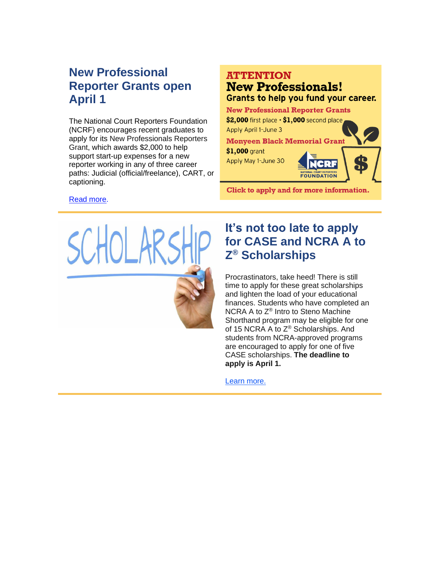## **New Professional Reporter Grants open April 1**

The National Court Reporters Foundation (NCRF) encourages recent graduates to apply for its New Professionals Reporters Grant, which awards \$2,000 to help support start-up expenses for a new reporter working in any of three career paths: Judicial (official/freelance), CART, or captioning.

#### **ATTENTION**

#### **New Professionals!** Grants to help you fund your career.

**New Professional Reporter Grants** 

\$2,000 first place  $\cdot$  \$1,000 second place Apply April 1-June 3

**Monyeen Black Memorial Grant** 

\$1,000 grant Apply May 1-June 30

Click to apply and for more information.

#### [Read more.](https://www.thejcr.com/2022/03/25/new-professional-reporter-grant-opens-april-1/)



### **It's not too late to apply for CASE and NCRA A to Z ® Scholarships**

Procrastinators, take heed! There is still time to apply for these great scholarships and lighten the load of your educational finances. Students who have completed an NCRA A to Z® Intro to Steno Machine Shorthand program may be eligible for one of 15 NCRA A to Z® Scholarships. And students from NCRA-approved programs are encouraged to apply for one of five CASE scholarships. **The deadline to apply is April 1.**

[Learn more.](https://www.thejcr.com/2022/03/18/its-not-too-late-to-apply-for-case-and-ncra-a-to-z-scholarships/)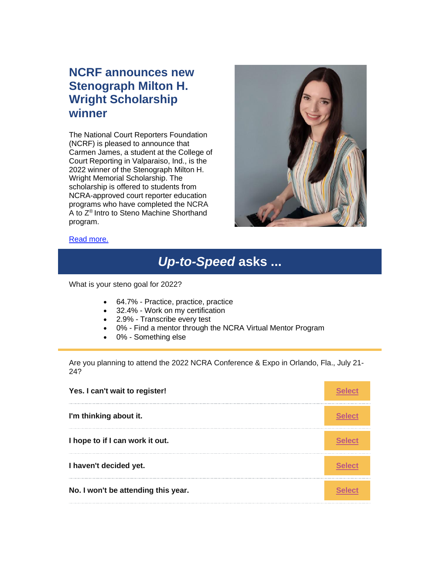### **NCRF announces new Stenograph Milton H. Wright Scholarship winner**

The National Court Reporters Foundation (NCRF) is pleased to announce that Carmen James, a student at the College of Court Reporting in Valparaiso, Ind., is the 2022 winner of the Stenograph Milton H. Wright Memorial Scholarship. The scholarship is offered to students from NCRA-approved court reporter education programs who have completed the NCRA A to Z® Intro to Steno Machine Shorthand program.



#### [Read more.](https://www.thejcr.com/2022/02/27/ncrf-announces-new-stenograph-milton-h-wright-scholarship-winner/)

# *Up-to-Speed* **asks ...**

What is your steno goal for 2022?

- 64.7% Practice, practice, practice
- 32.4% Work on my certification
- 2.9% Transcribe every test
- 0% Find a mentor through the NCRA Virtual Mentor Program
- 0% Something else

Are you planning to attend the 2022 NCRA Conference & Expo in Orlando, Fla., July 21- 24?

| Yes. I can't wait to register!      |  |
|-------------------------------------|--|
| I'm thinking about it.              |  |
| I hope to if I can work it out.     |  |
| I haven't decided yet.              |  |
| No. I won't be attending this year. |  |